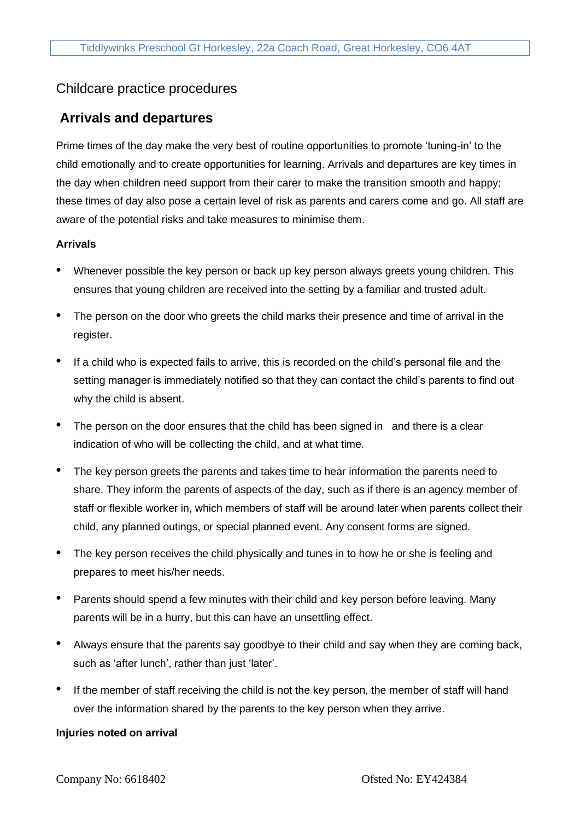# Childcare practice procedures

## **Arrivals and departures**

Prime times of the day make the very best of routine opportunities to promote 'tuning-in' to the child emotionally and to create opportunities for learning. Arrivals and departures are key times in the day when children need support from their carer to make the transition smooth and happy; these times of day also pose a certain level of risk as parents and carers come and go. All staff are aware of the potential risks and take measures to minimise them.

### **Arrivals**

- Whenever possible the key person or back up key person always greets young children. This ensures that young children are received into the setting by a familiar and trusted adult.
- The person on the door who greets the child marks their presence and time of arrival in the register.
- If a child who is expected fails to arrive, this is recorded on the child's personal file and the setting manager is immediately notified so that they can contact the child's parents to find out why the child is absent.
- The person on the door ensures that the child has been signed in and there is a clear indication of who will be collecting the child, and at what time.
- The key person greets the parents and takes time to hear information the parents need to share. They inform the parents of aspects of the day, such as if there is an agency member of staff or flexible worker in, which members of staff will be around later when parents collect their child, any planned outings, or special planned event. Any consent forms are signed.
- The key person receives the child physically and tunes in to how he or she is feeling and prepares to meet his/her needs.
- Parents should spend a few minutes with their child and key person before leaving. Many parents will be in a hurry, but this can have an unsettling effect.
- Always ensure that the parents say goodbye to their child and say when they are coming back, such as 'after lunch', rather than just 'later'.
- If the member of staff receiving the child is not the key person, the member of staff will hand over the information shared by the parents to the key person when they arrive.

#### **Injuries noted on arrival**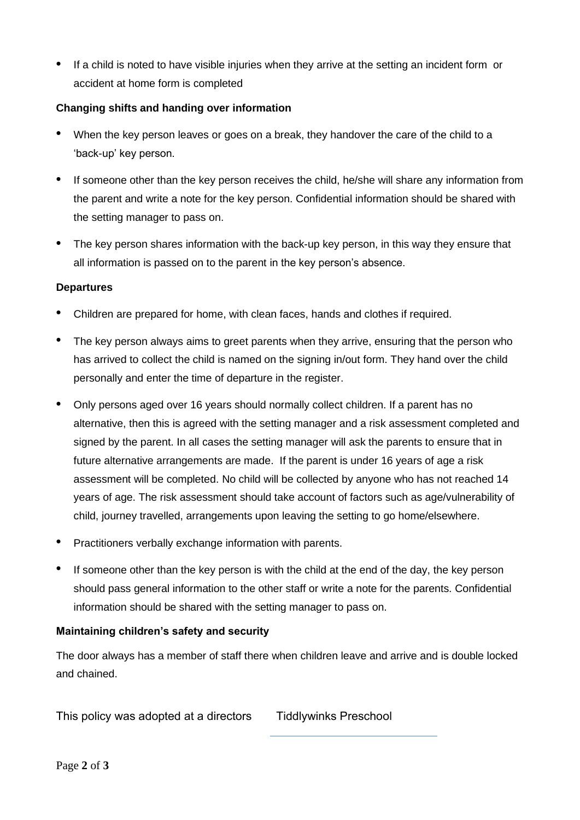If a child is noted to have visible injuries when they arrive at the setting an incident form or accident at home form is completed

## **Changing shifts and handing over information**

- When the key person leaves or goes on a break, they handover the care of the child to a 'back-up' key person.
- If someone other than the key person receives the child, he/she will share any information from the parent and write a note for the key person. Confidential information should be shared with the setting manager to pass on.
- The key person shares information with the back-up key person, in this way they ensure that all information is passed on to the parent in the key person's absence.

#### **Departures**

- Children are prepared for home, with clean faces, hands and clothes if required.
- The key person always aims to greet parents when they arrive, ensuring that the person who has arrived to collect the child is named on the signing in/out form. They hand over the child personally and enter the time of departure in the register.
- Only persons aged over 16 years should normally collect children. If a parent has no alternative, then this is agreed with the setting manager and a risk assessment completed and signed by the parent. In all cases the setting manager will ask the parents to ensure that in future alternative arrangements are made. If the parent is under 16 years of age a risk assessment will be completed. No child will be collected by anyone who has not reached 14 years of age. The risk assessment should take account of factors such as age/vulnerability of child, journey travelled, arrangements upon leaving the setting to go home/elsewhere.
- Practitioners verbally exchange information with parents.
- If someone other than the key person is with the child at the end of the day, the key person should pass general information to the other staff or write a note for the parents. Confidential information should be shared with the setting manager to pass on.

## **Maintaining children's safety and security**

The door always has a member of staff there when children leave and arrive and is double locked and chained.

This policy was adopted at a directors Tiddlywinks Preschool